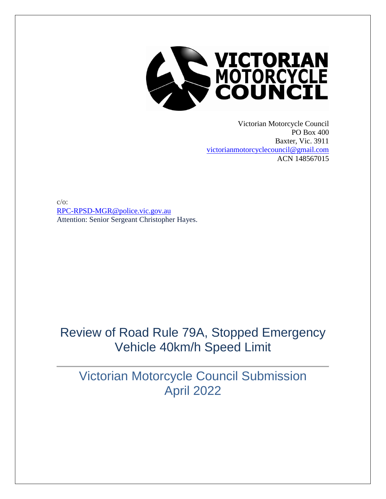

Victorian Motorcycle Council PO Box 400 Baxter, Vic. 3911 [victorianmotorcyclecouncil@gmail.com](mailto:victorianmotorcyclecouncil@gmail.com) ACN 148567015

 $c/o$ : [RPC-RPSD-MGR@police.vic.gov.au](mailto:RPC-RPSD-MGR@police.vic.gov.au) Attention: Senior Sergeant Christopher Hayes.

### Review of Road Rule 79A, Stopped Emergency Vehicle 40km/h Speed Limit

Victorian Motorcycle Council Submission April 2022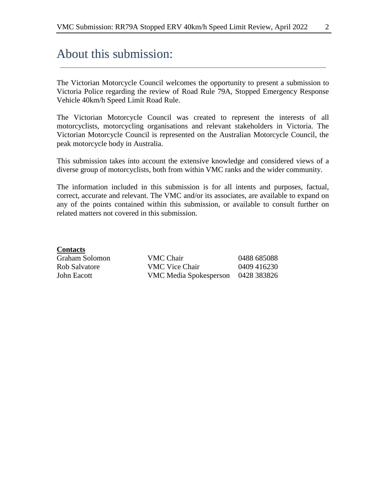### About this submission:

The Victorian Motorcycle Council welcomes the opportunity to present a submission to Victoria Police regarding the review of Road Rule 79A, Stopped Emergency Response Vehicle 40km/h Speed Limit Road Rule.

The Victorian Motorcycle Council was created to represent the interests of all motorcyclists, motorcycling organisations and relevant stakeholders in Victoria. The Victorian Motorcycle Council is represented on the Australian Motorcycle Council, the peak motorcycle body in Australia.

This submission takes into account the extensive knowledge and considered views of a diverse group of motorcyclists, both from within VMC ranks and the wider community.

The information included in this submission is for all intents and purposes, factual, correct, accurate and relevant. The VMC and/or its associates, are available to expand on any of the points contained within this submission, or available to consult further on related matters not covered in this submission.

#### **Contacts**

| Graham Solomon- | VMC Chair              | 0488 685088 |
|-----------------|------------------------|-------------|
| Rob Salvatore   | VMC Vice Chair         | 0409 416230 |
| John Eacott     | VMC Media Spokesperson | 0428 383826 |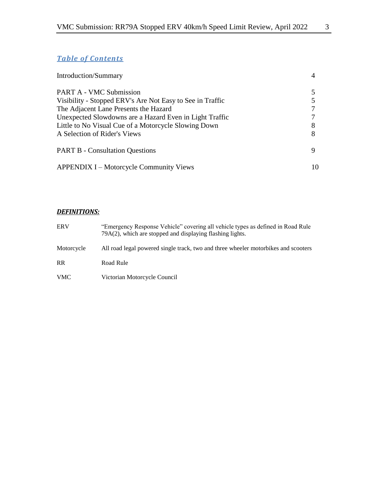#### *Table of Contents*

| <b>Introduction/Summary</b>                               |    |
|-----------------------------------------------------------|----|
| <b>PART A - VMC Submission</b>                            |    |
| Visibility - Stopped ERV's Are Not Easy to See in Traffic |    |
| The Adjacent Lane Presents the Hazard                     |    |
| Unexpected Slowdowns are a Hazard Even in Light Traffic   |    |
| Little to No Visual Cue of a Motorcycle Slowing Down      |    |
| A Selection of Rider's Views                              |    |
| <b>PART B - Consultation Questions</b>                    |    |
| <b>APPENDIX I – Motorcycle Community Views</b>            | 10 |

#### *DEFINITIONS:*

| <b>ERV</b> | "Emergency Response Vehicle" covering all vehicle types as defined in Road Rule<br>79A(2), which are stopped and displaying flashing lights. |
|------------|----------------------------------------------------------------------------------------------------------------------------------------------|
| Motorcycle | All road legal powered single track, two and three wheeler motorbikes and scooters                                                           |
| <b>RR</b>  | Road Rule                                                                                                                                    |
| <b>VMC</b> | Victorian Motorcycle Council                                                                                                                 |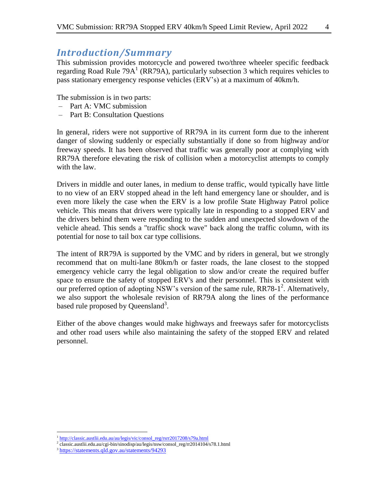### *Introduction/Summary*

This submission provides motorcycle and powered two/three wheeler specific feedback regarding Road Rule 79A<sup>1</sup> (RR79A), particularly subsection 3 which requires vehicles to pass stationary emergency response vehicles (ERV's) at a maximum of 40km/h.

The submission is in two parts:

- Part A: VMC submission
- Part B: Consultation Questions

In general, riders were not supportive of RR79A in its current form due to the inherent danger of slowing suddenly or especially substantially if done so from highway and/or freeway speeds. It has been observed that traffic was generally poor at complying with RR79A therefore elevating the risk of collision when a motorcyclist attempts to comply with the law.

Drivers in middle and outer lanes, in medium to dense traffic, would typically have little to no view of an ERV stopped ahead in the left hand emergency lane or shoulder, and is even more likely the case when the ERV is a low profile State Highway Patrol police vehicle. This means that drivers were typically late in responding to a stopped ERV and the drivers behind them were responding to the sudden and unexpected slowdown of the vehicle ahead. This sends a "traffic shock wave" back along the traffic column, with its potential for nose to tail box car type collisions.

The intent of RR79A is supported by the VMC and by riders in general, but we strongly recommend that on multi-lane 80km/h or faster roads, the lane closest to the stopped emergency vehicle carry the legal obligation to slow and/or create the required buffer space to ensure the safety of stopped ERV's and their personnel. This is consistent with our preferred option of adopting NSW's version of the same rule, RR78-1<sup>2</sup>. Alternatively, we also support the wholesale revision of RR79A along the lines of the performance based rule proposed by Queensland<sup>3</sup>.

Either of the above changes would make highways and freeways safer for motorcyclists and other road users while also maintaining the safety of the stopped ERV and related personnel.

 $\overline{a}$ 

<sup>&</sup>lt;sup>1</sup> [http://classic.austlii.edu.au/au/legis/vic/consol\\_reg/rsrr2017208/s79a.html](http://classic.austlii.edu.au/au/legis/vic/consol_reg/rsrr2017208/s79a.html)

<sup>2</sup> classic.austlii.edu.au/cgi-bin/sinodisp/au/legis/nsw/consol\_reg/rr2014104/s78.1.html

<sup>&</sup>lt;sup>3</sup> [https://statements.qld.gov.au/statements/94293](https://statements.qld.gov.au/statements/94293?fbclid=IwAR0568izIbldqbHNfG1EHPli1HrkwmFpizugK_jqv5ZJKSLYlxgt2AryViY)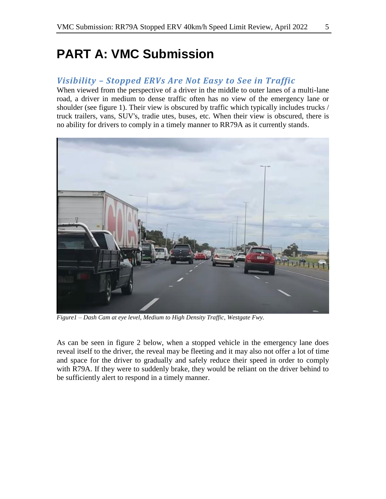## **PART A: VMC Submission**

#### *Visibility – Stopped ERVs Are Not Easy to See in Traffic*

When viewed from the perspective of a driver in the middle to outer lanes of a multi-lane road, a driver in medium to dense traffic often has no view of the emergency lane or shoulder (see figure 1). Their view is obscured by traffic which typically includes trucks / truck trailers, vans, SUV's, tradie utes, buses, etc. When their view is obscured, there is no ability for drivers to comply in a timely manner to RR79A as it currently stands.



*Figure1 – Dash Cam at eye level, Medium to High Density Traffic, Westgate Fwy.*

As can be seen in figure 2 below, when a stopped vehicle in the emergency lane does reveal itself to the driver, the reveal may be fleeting and it may also not offer a lot of time and space for the driver to gradually and safely reduce their speed in order to comply with R79A. If they were to suddenly brake, they would be reliant on the driver behind to be sufficiently alert to respond in a timely manner.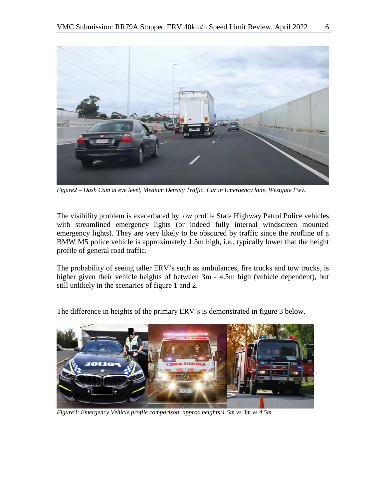

*Figure2 – Dash Cam at eye level, Medium Density Traffic, Car in Emergency lane, Westgate Fwy*.

The visibility problem is exacerbated by low profile State Highway Patrol Police vehicles with streamlined emergency lights (or indeed fully internal windscreen mounted emergency lights). They are very likely to be obscured by traffic since the roofline of a BMW M5 police vehicle is approximately 1.5m high, i.e., typically lower that the height profile of general road traffic.

The probability of seeing taller ERV's such as ambulances, fire trucks and tow trucks, is higher given their vehicle heights of between 3m - 4.5m high (vehicle dependent), but still unlikely in the scenarios of figure 1 and 2.

The difference in heights of the primary ERV's is demonstrated in figure 3 below.



*Figure3: Emergency Vehicle profile comparison, approx.heights:1.5m vs 3m vs 4.5m*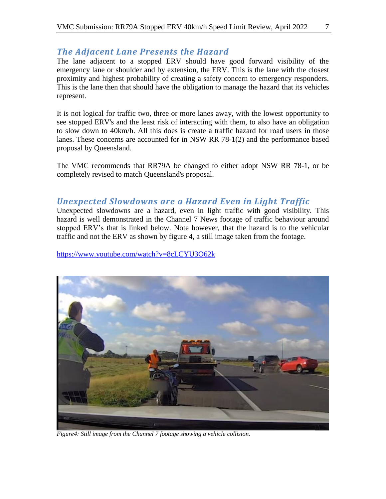#### *The Adjacent Lane Presents the Hazard*

The lane adjacent to a stopped ERV should have good forward visibility of the emergency lane or shoulder and by extension, the ERV. This is the lane with the closest proximity and highest probability of creating a safety concern to emergency responders. This is the lane then that should have the obligation to manage the hazard that its vehicles represent.

It is not logical for traffic two, three or more lanes away, with the lowest opportunity to see stopped ERV's and the least risk of interacting with them, to also have an obligation to slow down to 40km/h. All this does is create a traffic hazard for road users in those lanes. These concerns are accounted for in NSW RR 78-1(2) and the performance based proposal by Queensland.

The VMC recommends that RR79A be changed to either adopt NSW RR 78-1, or be completely revised to match Queensland's proposal.

#### *Unexpected Slowdowns are a Hazard Even in Light Traffic*

Unexpected slowdowns are a hazard, even in light traffic with good visibility. This hazard is well demonstrated in the Channel 7 News footage of traffic behaviour around stopped ERV's that is linked below. Note however, that the hazard is to the vehicular traffic and not the ERV as shown by figure 4, a still image taken from the footage.

<https://www.youtube.com/watch?v=8cLCYU3O62k>



*Figure4: Still image from the Channel 7 footage showing a vehicle collision.*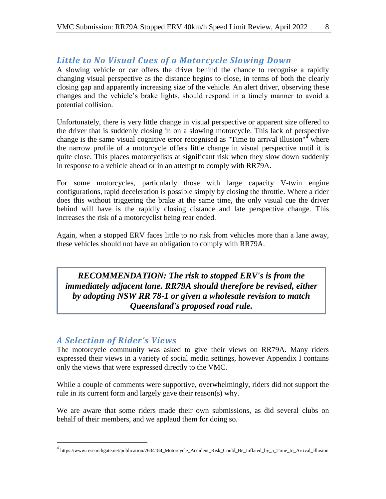#### *Little to No Visual Cues of a Motorcycle Slowing Down*

A slowing vehicle or car offers the driver behind the chance to recognise a rapidly changing visual perspective as the distance begins to close, in terms of both the clearly closing gap and apparently increasing size of the vehicle. An alert driver, observing these changes and the vehicle's brake lights, should respond in a timely manner to avoid a potential collision.

Unfortunately, there is very little change in visual perspective or apparent size offered to the driver that is suddenly closing in on a slowing motorcycle. This lack of perspective change is the same visual cognitive error recognised as "Time to arrival illusion"<sup>4</sup> where the narrow profile of a motorcycle offers little change in visual perspective until it is quite close. This places motorcyclists at significant risk when they slow down suddenly in response to a vehicle ahead or in an attempt to comply with RR79A.

For some motorcycles, particularly those with large capacity V-twin engine configurations, rapid deceleration is possible simply by closing the throttle. Where a rider does this without triggering the brake at the same time, the only visual cue the driver behind will have is the rapidly closing distance and late perspective change. This increases the risk of a motorcyclist being rear ended.

Again, when a stopped ERV faces little to no risk from vehicles more than a lane away, these vehicles should not have an obligation to comply with RR79A.

*RECOMMENDATION: The risk to stopped ERV's is from the immediately adjacent lane. RR79A should therefore be revised, either by adopting NSW RR 78-1 or given a wholesale revision to match Queensland's proposed road rule.* 

#### *A Selection of Rider's Views*

 $\overline{a}$ 

The motorcycle community was asked to give their views on RR79A. Many riders expressed their views in a variety of social media settings, however Appendix I contains only the views that were expressed directly to the VMC.

While a couple of comments were supportive, overwhelmingly, riders did not support the rule in its current form and largely gave their reason(s) why.

We are aware that some riders made their own submissions, as did several clubs on behalf of their members, and we applaud them for doing so.

<sup>&</sup>lt;sup>4</sup> https://www.researchgate.net/publication/7634184\_Motorcycle\_Accident\_Risk\_Could\_Be\_Inflated\_by\_a\_Time\_to\_Arrival\_Illusion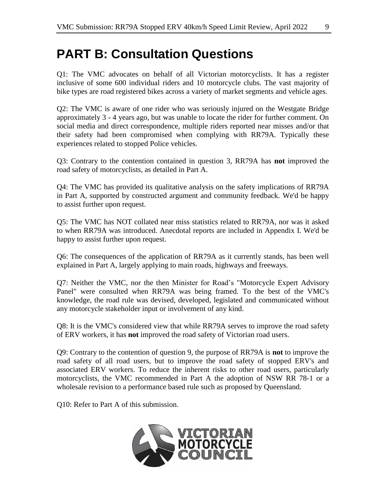# **PART B: Consultation Questions**

Q1: The VMC advocates on behalf of all Victorian motorcyclists. It has a register inclusive of some 600 individual riders and 10 motorcycle clubs. The vast majority of bike types are road registered bikes across a variety of market segments and vehicle ages.

Q2: The VMC is aware of one rider who was seriously injured on the Westgate Bridge approximately 3 - 4 years ago, but was unable to locate the rider for further comment. On social media and direct correspondence, multiple riders reported near misses and/or that their safety had been compromised when complying with RR79A. Typically these experiences related to stopped Police vehicles.

Q3: Contrary to the contention contained in question 3, RR79A has **not** improved the road safety of motorcyclists, as detailed in Part A.

Q4: The VMC has provided its qualitative analysis on the safety implications of RR79A in Part A, supported by constructed argument and community feedback. We'd be happy to assist further upon request.

Q5: The VMC has NOT collated near miss statistics related to RR79A, nor was it asked to when RR79A was introduced. Anecdotal reports are included in Appendix I. We'd be happy to assist further upon request.

Q6: The consequences of the application of RR79A as it currently stands, has been well explained in Part A, largely applying to main roads, highways and freeways.

Q7: Neither the VMC, nor the then Minister for Road's "Motorcycle Expert Advisory Panel" were consulted when RR79A was being framed. To the best of the VMC's knowledge, the road rule was devised, developed, legislated and communicated without any motorcycle stakeholder input or involvement of any kind.

Q8: It is the VMC's considered view that while RR79A serves to improve the road safety of ERV workers, it has **not** improved the road safety of Victorian road users.

Q9: Contrary to the contention of question 9, the purpose of RR79A is **not** to improve the road safety of all road users, but to improve the road safety of stopped ERV's and associated ERV workers. To reduce the inherent risks to other road users, particularly motorcyclists, the VMC recommended in Part A the adoption of NSW RR 78-1 or a wholesale revision to a performance based rule such as proposed by Queensland.

Q10: Refer to Part A of this submission.

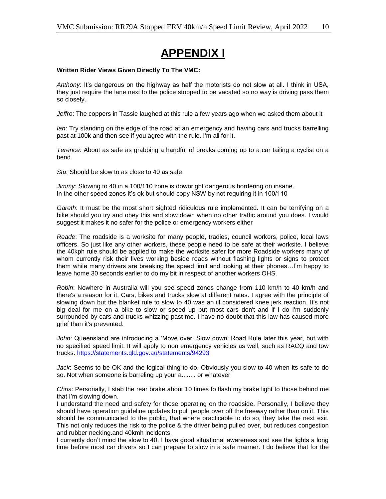### **APPENDIX I**

#### **Written Rider Views Given Directly To The VMC:**

*Anthony*: It's dangerous on the highway as half the motorists do not slow at all. I think in USA, they just require the lane next to the police stopped to be vacated so no way is driving pass them so closely.

*Jeffro*: The coppers in Tassie laughed at this rule a few years ago when we asked them about it

*Ian*: Try standing on the edge of the road at an emergency and having cars and trucks barrelling past at 100k and then see if you agree with the rule. I'm all for it.

*Terence*: About as safe as grabbing a handful of breaks coming up to a car tailing a cyclist on a bend

*Stu*: Should be slow to as close to 40 as safe

*Jimmy*: Slowing to 40 in a 100/110 zone is downright dangerous bordering on insane. In the other speed zones it's ok but should copy NSW by not requiring it in 100/110

*Gareth*: It must be the most short sighted ridiculous rule implemented. It can be terrifying on a bike should you try and obey this and slow down when no other traffic around you does. I would suggest it makes it no safer for the police or emergency workers either

*Reade*: The roadside is a worksite for many people, tradies, council workers, police, local laws officers. So just like any other workers, these people need to be safe at their worksite. I believe the 40kph rule should be applied to make the worksite safer for more Roadside workers many of whom currently risk their lives working beside roads without flashing lights or signs to protect them while many drivers are breaking the speed limit and looking at their phones…I'm happy to leave home 30 seconds earlier to do my bit in respect of another workers OHS.

*Robin*: Nowhere in Australia will you see speed zones change from 110 km/h to 40 km/h and there's a reason for it. Cars, bikes and trucks slow at different rates. I agree with the principle of slowing down but the blanket rule to slow to 40 was an ill considered knee jerk reaction. It's not big deal for me on a bike to slow or speed up but most cars don't and if I do I'm suddenly surrounded by cars and trucks whizzing past me. I have no doubt that this law has caused more grief than it's prevented.

*John*: Queensland are introducing a 'Move over, Slow down' Road Rule later this year, but with no specified speed limit. It will apply to non emergency vehicles as well, such as RACQ and tow trucks. [https://statements.qld.gov.au/statements/94293](https://statements.qld.gov.au/statements/94293?fbclid=IwAR0568izIbldqbHNfG1EHPli1HrkwmFpizugK_jqv5ZJKSLYlxgt2AryViY)

*Jack*: Seems to be OK and the logical thing to do. Obviously you slow to 40 when its safe to do so. Not when someone is barreling up your a........ or whatever

*Chris*: Personally, I stab the rear brake about 10 times to flash my brake light to those behind me that I'm slowing down.

I understand the need and safety for those operating on the roadside. Personally, I believe they should have operation guideline updates to pull people over off the freeway rather than on it. This should be communicated to the public, that where practicable to do so, they take the next exit. This not only reduces the risk to the police & the driver being pulled over, but reduces congestion and rubber necking.and 40kmh incidents.

I currently don't mind the slow to 40. I have good situational awareness and see the lights a long time before most car drivers so I can prepare to slow in a safe manner. I do believe that for the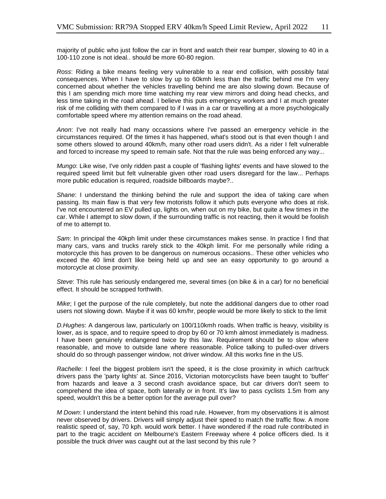majority of public who just follow the car in front and watch their rear bumper, slowing to 40 in a 100-110 zone is not ideal.. should be more 60-80 region.

*Ross*: Riding a bike means feeling very vulnerable to a rear end collision, with possibly fatal consequences. When I have to slow by up to 60kmh less than the traffic behind me I'm very concerned about whether the vehicles travelling behind me are also slowing down. Because of this I am spending mich more time watching my rear view mirrors and doing head checks, and less time taking in the road ahead. I believe this puts emergency workers and I at much greater risk of me colliding with them compared to if I was in a car or travelling at a more psychologically comfortable speed where my attention remains on the road ahead.

*Anon*: I've not really had many occassions where I've passed an emergency vehicle in the circumstances required. Of the times it has happened, what's stood out is that even though I and some others slowed to around 40km/h, many other road users didn't. As a rider I felt vulnerable and forced to increase my speed to remain safe. Not that the rule was being enforced any way...

*Mungo*: Like wise, I've only ridden past a couple of 'flashing lights' events and have slowed to the required speed limit but felt vulnerable given other road users disregard for the law... Perhaps more public education is required, roadside billboards maybe?..

*Shane*: I understand the thinking behind the rule and support the idea of taking care when passing. Its main flaw is that very few motorists follow it which puts everyone who does at risk. I've not encountered an EV pulled up, lights on, when out on my bike, but quite a few times in the car. While I attempt to slow down, if the surrounding traffic is not reacting, then it would be foolish of me to attempt to.

*Sam*: In principal the 40kph limit under these circumstances makes sense. In practice I find that many cars, vans and trucks rarely stick to the 40kph limit. For me personally while riding a motorcycle this has proven to be dangerous on numerous occasions.. These other vehicles who exceed the 40 limit don't like being held up and see an easy opportunity to go around a motorcycle at close proximity.

*Steve*: This rule has seriously endangered me, several times (on bike & in a car) for no beneficial effect. It should be scrapped forthwith.

*Mike*; I get the purpose of the rule completely, but note the additional dangers due to other road users not slowing down. Maybe if it was 60 km/hr, people would be more likely to stick to the limit

*D.Hughes*: A dangerous law, particularly on 100/110kmh roads. When traffic is heavy, visibility is lower, as is space, and to require speed to drop by 60 or 70 kmh almost immediately is madness. I have been genuinely endangered twice by this law. Requirement should be to slow where reasonable, and move to outside lane where reasonable. Police talking to pulled-over drivers should do so through passenger window, not driver window. All this works fine in the US.

*Rachelle*: I feel the biggest problem isn't the speed, it is the close proximity in which car/truck drivers pass the 'party lights' at. Since 2016, Victorian motorcyclists have been taught to 'buffer' from hazards and leave a 3 second crash avoidance space, but car drivers don't seem to comprehend the idea of space, both laterally or in front. It's law to pass cyclists 1.5m from any speed, wouldn't this be a better option for the average pull over?

*M Down*: I understand the intent behind this road rule. However, from my observations it is almost never observed by drivers. Drivers will simply adjust their speed to match the traffic flow. A more realistic speed of, say, 70 kph. would work better. I have wondered if the road rule contributed in part to the tragic accident on Melbourne's Eastern Freeway where 4 police officers died. Is it possible the truck driver was caught out at the last second by this rule ?